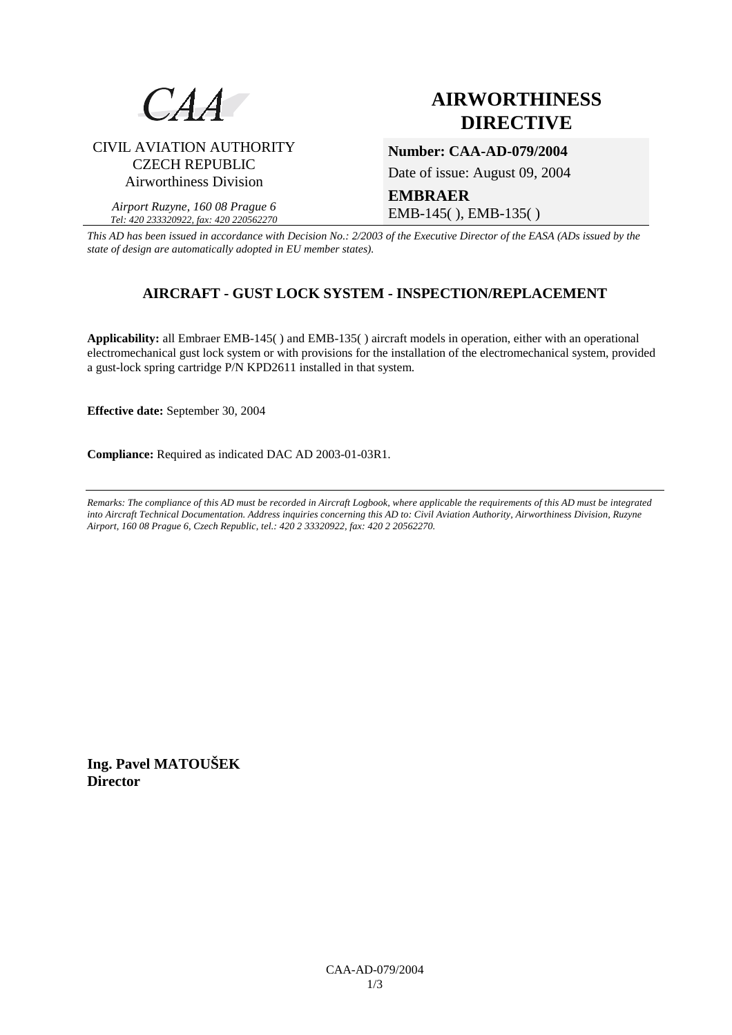

CIVIL AVIATION AUTHORITY CZECH REPUBLIC Airworthiness Division

*Airport Ruzyne, 160 08 Prague 6 Tel: 420 233320922, fax: 420 220562270*

# **AIRWORTHINESS DIRECTIVE**

**Number: CAA-AD-079/2004** 

Date of issue: August 09, 2004

## **EMBRAER**  EMB-145( ), EMB-135( )

*This AD has been issued in accordance with Decision No.: 2/2003 of the Executive Director of the EASA (ADs issued by the state of design are automatically adopted in EU member states).*

# **AIRCRAFT - GUST LOCK SYSTEM - INSPECTION/REPLACEMENT**

**Applicability:** all Embraer EMB-145( ) and EMB-135( ) aircraft models in operation, either with an operational electromechanical gust lock system or with provisions for the installation of the electromechanical system, provided a gust-lock spring cartridge P/N KPD2611 installed in that system.

**Effective date:** September 30, 2004

**Compliance:** Required as indicated DAC AD 2003-01-03R1.

*Remarks: The compliance of this AD must be recorded in Aircraft Logbook, where applicable the requirements of this AD must be integrated into Aircraft Technical Documentation. Address inquiries concerning this AD to: Civil Aviation Authority, Airworthiness Division, Ruzyne Airport, 160 08 Prague 6, Czech Republic, tel.: 420 2 33320922, fax: 420 2 20562270.* 

**Ing. Pavel MATOUŠEK Director**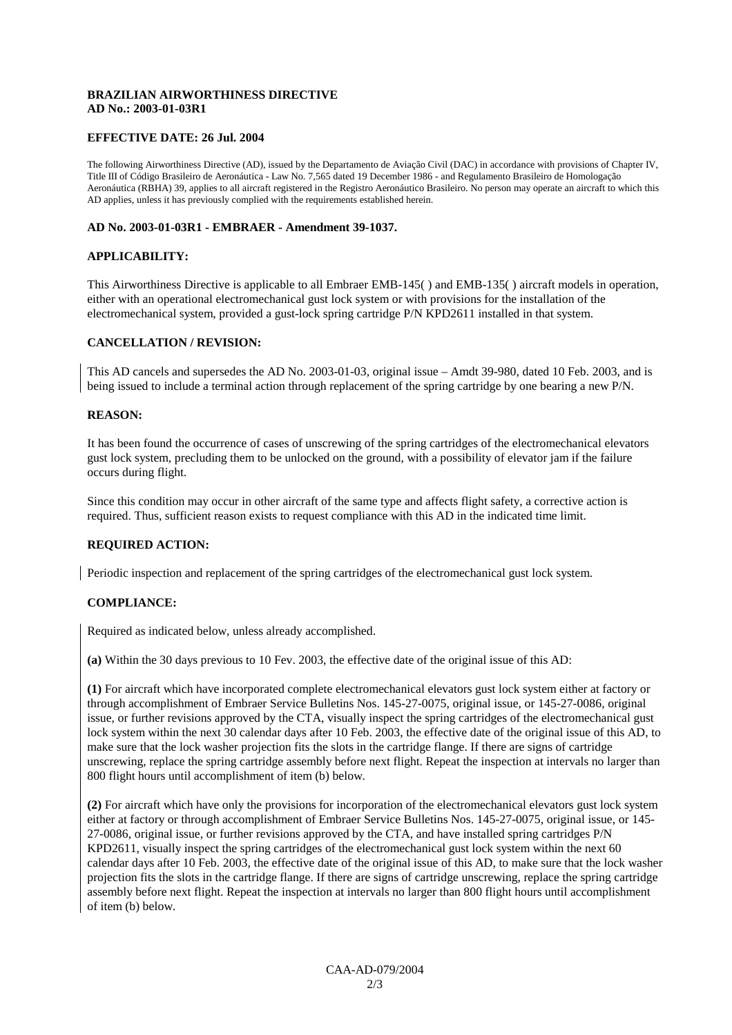#### **BRAZILIAN AIRWORTHINESS DIRECTIVE AD No.: 2003-01-03R1**

#### **EFFECTIVE DATE: 26 Jul. 2004**

The following Airworthiness Directive (AD), issued by the Departamento de Aviação Civil (DAC) in accordance with provisions of Chapter IV, Title III of Código Brasileiro de Aeronáutica - Law No. 7,565 dated 19 December 1986 - and Regulamento Brasileiro de Homologação Aeronáutica (RBHA) 39, applies to all aircraft registered in the Registro Aeronáutico Brasileiro. No person may operate an aircraft to which this AD applies, unless it has previously complied with the requirements established herein.

#### **AD No. 2003-01-03R1 - EMBRAER - Amendment 39-1037.**

#### **APPLICABILITY:**

This Airworthiness Directive is applicable to all Embraer EMB-145( ) and EMB-135( ) aircraft models in operation, either with an operational electromechanical gust lock system or with provisions for the installation of the electromechanical system, provided a gust-lock spring cartridge P/N KPD2611 installed in that system.

#### **CANCELLATION / REVISION:**

This AD cancels and supersedes the AD No. 2003-01-03, original issue – Amdt 39-980, dated 10 Feb. 2003, and is being issued to include a terminal action through replacement of the spring cartridge by one bearing a new P/N.

#### **REASON:**

It has been found the occurrence of cases of unscrewing of the spring cartridges of the electromechanical elevators gust lock system, precluding them to be unlocked on the ground, with a possibility of elevator jam if the failure occurs during flight.

Since this condition may occur in other aircraft of the same type and affects flight safety, a corrective action is required. Thus, sufficient reason exists to request compliance with this AD in the indicated time limit.

#### **REQUIRED ACTION:**

Periodic inspection and replacement of the spring cartridges of the electromechanical gust lock system.

#### **COMPLIANCE:**

Required as indicated below, unless already accomplished.

**(a)** Within the 30 days previous to 10 Fev. 2003, the effective date of the original issue of this AD:

**(1)** For aircraft which have incorporated complete electromechanical elevators gust lock system either at factory or through accomplishment of Embraer Service Bulletins Nos. 145-27-0075, original issue, or 145-27-0086, original issue, or further revisions approved by the CTA, visually inspect the spring cartridges of the electromechanical gust lock system within the next 30 calendar days after 10 Feb. 2003, the effective date of the original issue of this AD, to make sure that the lock washer projection fits the slots in the cartridge flange. If there are signs of cartridge unscrewing, replace the spring cartridge assembly before next flight. Repeat the inspection at intervals no larger than 800 flight hours until accomplishment of item (b) below.

**(2)** For aircraft which have only the provisions for incorporation of the electromechanical elevators gust lock system either at factory or through accomplishment of Embraer Service Bulletins Nos. 145-27-0075, original issue, or 145- 27-0086, original issue, or further revisions approved by the CTA, and have installed spring cartridges P/N KPD2611, visually inspect the spring cartridges of the electromechanical gust lock system within the next 60 calendar days after 10 Feb. 2003, the effective date of the original issue of this AD, to make sure that the lock washer projection fits the slots in the cartridge flange. If there are signs of cartridge unscrewing, replace the spring cartridge assembly before next flight. Repeat the inspection at intervals no larger than 800 flight hours until accomplishment of item (b) below.